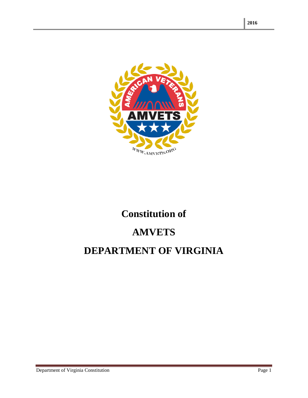

# **Constitution of**

# **AMVETS**

## **DEPARTMENT OF VIRGINIA**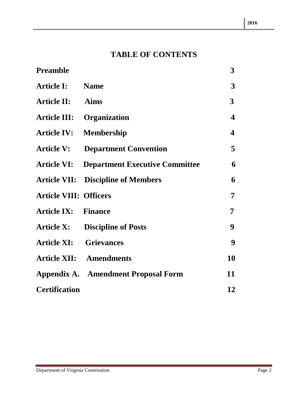### **TABLE OF CONTENTS**

| <b>Preamble</b>               |                                            | 3                       |
|-------------------------------|--------------------------------------------|-------------------------|
| <b>Article I:</b>             | <b>Name</b>                                | 3                       |
| <b>Article II:</b>            | <b>Aims</b>                                | $\overline{\mathbf{3}}$ |
| <b>Article III:</b>           | <b>Organization</b>                        | $\boldsymbol{4}$        |
| <b>Article IV:</b>            | <b>Membership</b>                          | 4                       |
| <b>Article V:</b>             | <b>Department Convention</b>               | 5                       |
| <b>Article VI:</b>            | <b>Department Executive Committee</b>      | 6                       |
|                               | <b>Article VII:</b> Discipline of Members  | 6                       |
| <b>Article VIII: Officers</b> |                                            | 7                       |
| <b>Article IX: Finance</b>    |                                            | 7                       |
| <b>Article X:</b>             | <b>Discipline of Posts</b>                 | 9                       |
| <b>Article XI: Grievances</b> |                                            | 9                       |
|                               | <b>Article XII: Amendments</b>             | 10                      |
|                               | <b>Appendix A. Amendment Proposal Form</b> | 11                      |
| <b>Certification</b>          |                                            | 12                      |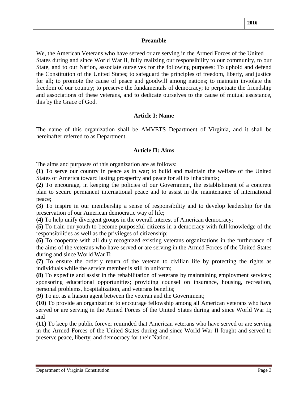#### **Preamble**

We, the American Veterans who have served or are serving in the Armed Forces of the United States during and since World War II, fully realizing our responsibility to our community, to our State, and to our Nation, associate ourselves for the following purposes: To uphold and defend the Constitution of the United States; to safeguard the principles of freedom, liberty, and justice for all; to promote the cause of peace and goodwill among nations; to maintain inviolate the freedom of our country; to preserve the fundamentals of democracy; to perpetuate the friendship and associations of these veterans, and to dedicate ourselves to the cause of mutual assistance, this by the Grace of God.

#### **Article I: Name**

The name of this organization shall be AMVETS Department of Virginia, and it shall be hereinafter referred to as Department.

#### **Article II: Aims**

The aims and purposes of this organization are as follows:

**(1)** To serve our country in peace as in war; to build and maintain the welfare of the United States of America toward lasting prosperity and peace for all its inhabitants;

**(2)** To encourage, in keeping the policies of our Government, the establishment of a concrete plan to secure permanent international peace and to assist in the maintenance of international peace;

**(3)** To inspire in our membership a sense of responsibility and to develop leadership for the preservation of our American democratic way of life;

**(4)** To help unify divergent groups in the overall interest of American democracy;

**(5)** To train our youth to become purposeful citizens in a democracy with full knowledge of the responsibilities as well as the privileges of citizenship;

**(6)** To cooperate with all duly recognized existing veterans organizations in the furtherance of the aims of the veterans who have served or are serving in the Armed Forces of the United States during and since World War II;

**(7)** To ensure the orderly return of the veteran to civilian life by protecting the rights as individuals while the service member is still in uniform;

**(8)** To expedite and assist in the rehabilitation of veterans by maintaining employment services; sponsoring educational opportunities; providing counsel on insurance, housing, recreation, personal problems, hospitalization, and veterans benefits;

**(9)** To act as a liaison agent between the veteran and the Government;

**(10)** To provide an organization to encourage fellowship among all American veterans who have served or are serving in the Armed Forces of the United States during and since World War II; and

**(11)** To keep the public forever reminded that American veterans who have served or are serving in the Armed Forces of the United States during and since World War II fought and served to preserve peace, liberty, and democracy for their Nation.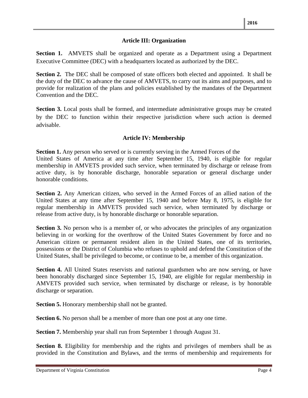#### **Article III: Organization**

**Section 1.** AMVETS shall be organized and operate as a Department using a Department Executive Committee (DEC) with a headquarters located as authorized by the DEC.

**Section 2.** The DEC shall be composed of state officers both elected and appointed. It shall be the duty of the DEC to advance the cause of AMVETS, to carry out its aims and purposes, and to provide for realization of the plans and policies established by the mandates of the Department Convention and the DEC.

**Section 3.** Local posts shall be formed, and intermediate administrative groups may be created by the DEC to function within their respective jurisdiction where such action is deemed advisable.

#### **Article IV: Membership**

**Section 1.** Any person who served or is currently serving in the Armed Forces of the United States of America at any time after September 15, 1940, is eligible for regular membership in AMVETS provided such service, when terminated by discharge or release from active duty, is by honorable discharge, honorable separation or general discharge under honorable conditions.

**Section 2.** Any American citizen, who served in the Armed Forces of an allied nation of the United States at any time after September 15, 1940 and before May 8, 1975, is eligible for regular membership in AMVETS provided such service, when terminated by discharge or release from active duty, is by honorable discharge or honorable separation.

**Section 3.** No person who is a member of, or who advocates the principles of any organization believing in or working for the overthrow of the United States Government by force and no American citizen or permanent resident alien in the United States, one of its territories, possessions or the District of Columbia who refuses to uphold and defend the Constitution of the United States, shall be privileged to become, or continue to be, a member of this organization.

**Section 4.** All United States reservists and national guardsmen who are now serving, or have been honorably discharged since September 15, 1940, are eligible for regular membership in AMVETS provided such service, when terminated by discharge or release, is by honorable discharge or separation.

**Section 5.** Honorary membership shall not be granted.

**Section 6.** No person shall be a member of more than one post at any one time.

**Section 7.** Membership year shall run from September 1 through August 31.

**Section 8.** Eligibility for membership and the rights and privileges of members shall be as provided in the Constitution and Bylaws, and the terms of membership and requirements for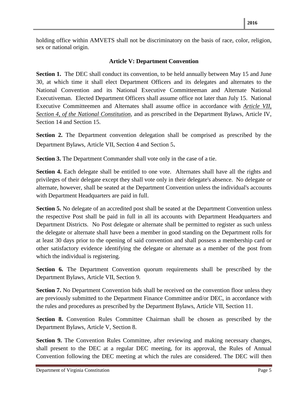holding office within AMVETS shall not be discriminatory on the basis of race, color, religion, sex or national origin.

#### **Article V: Department Convention**

**Section 1.** The DEC shall conduct its convention, to be held annually between May 15 and June 30, at which time it shall elect Department Officers and its delegates and alternates to the National Convention and its National Executive Committeeman and Alternate National Executiveman. Elected Department Officers shall assume office not later than July 15. National Executive Committeemen and Alternates shall assume office in accordance with *Article VII, Section 4, of the National Constitution*, and as prescribed in the Department Bylaws, Article IV, Section 14 and Section 15.

**Section 2.** The Department convention delegation shall be comprised as prescribed by the Department Bylaws, Article VII, Section 4 and Section 5.

**Section 3.** The Department Commander shall vote only in the case of a tie.

**Section 4.** Each delegate shall be entitled to one vote. Alternates shall have all the rights and privileges of their delegate except they shall vote only in their delegate's absence. No delegate or alternate, however, shall be seated at the Department Convention unless the individual's accounts with Department Headquarters are paid in full.

**Section 5.** No delegate of an accredited post shall be seated at the Department Convention unless the respective Post shall be paid in full in all its accounts with Department Headquarters and Department Districts. No Post delegate or alternate shall be permitted to register as such unless the delegate or alternate shall have been a member in good standing on the Department rolls for at least 30 days prior to the opening of said convention and shall possess a membership card or other satisfactory evidence identifying the delegate or alternate as a member of the post from which the individual is registering.

**Section 6.** The Department Convention quorum requirements shall be prescribed by the Department Bylaws, Article VII, Section 9.

**Section 7.** No Department Convention bids shall be received on the convention floor unless they are previously submitted to the Department Finance Committee and/or DEC, in accordance with the rules and procedures as prescribed by the Department Bylaws, Article VII, Section 11.

**Section 8.** Convention Rules Committee Chairman shall be chosen as prescribed by the Department Bylaws, Article V, Section 8.

**Section 9.** The Convention Rules Committee, after reviewing and making necessary changes, shall present to the DEC at a regular DEC meeting, for its approval, the Rules of Annual Convention following the DEC meeting at which the rules are considered. The DEC will then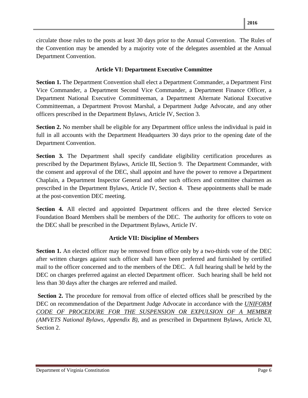circulate those rules to the posts at least 30 days prior to the Annual Convention. The Rules of the Convention may be amended by a majority vote of the delegates assembled at the Annual Department Convention.

#### **Article VI: Department Executive Committee**

**Section 1.** The Department Convention shall elect a Department Commander, a Department First Vice Commander, a Department Second Vice Commander, a Department Finance Officer, a Department National Executive Committeeman, a Department Alternate National Executive Committeeman, a Department Provost Marshal, a Department Judge Advocate, and any other officers prescribed in the Department Bylaws, Article IV, Section 3.

**Section 2.** No member shall be eligible for any Department office unless the individual is paid in full in all accounts with the Department Headquarters 30 days prior to the opening date of the Department Convention.

**Section 3.** The Department shall specify candidate eligibility certification procedures as prescribed by the Department Bylaws, Article III, Section 9. The Department Commander, with the consent and approval of the DEC, shall appoint and have the power to remove a Department Chaplain, a Department Inspector General and other such officers and committee chairmen as prescribed in the Department Bylaws, Article IV, Section 4. These appointments shall be made at the post-convention DEC meeting.

**Section 4.** All elected and appointed Department officers and the three elected Service Foundation Board Members shall be members of the DEC. The authority for officers to vote on the DEC shall be prescribed in the Department Bylaws, Article IV.

#### **Article VII: Discipline of Members**

**Section 1.** An elected officer may be removed from office only by a two-thirds vote of the DEC after written charges against such officer shall have been preferred and furnished by certified mail to the officer concerned and to the members of the DEC. A full hearing shall be held by the DEC on charges preferred against an elected Department officer. Such hearing shall be held not less than 30 days after the charges are referred and mailed.

**Section 2.** The procedure for removal from office of elected offices shall be prescribed by the DEC on recommendation of the Department Judge Advocate in accordance with the *UNIFORM CODE OF PROCEDURE FOR THE SUSPENSION OR EXPULSION OF A MEMBER (AMVETS National Bylaws, Appendix B),* and as prescribed in Department Bylaws, Article XI, Section 2.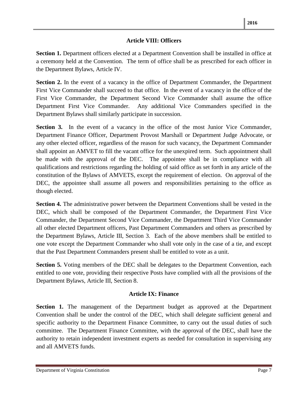#### **Article VIII: Officers**

**Section 1.** Department officers elected at a Department Convention shall be installed in office at a ceremony held at the Convention. The term of office shall be as prescribed for each officer in the Department Bylaws, Article IV.

**Section 2.** In the event of a vacancy in the office of Department Commander, the Department First Vice Commander shall succeed to that office. In the event of a vacancy in the office of the First Vice Commander, the Department Second Vice Commander shall assume the office Department First Vice Commander. Any additional Vice Commanders specified in the Department Bylaws shall similarly participate in succession.

**Section 3.** In the event of a vacancy in the office of the most Junior Vice Commander, Department Finance Officer, Department Provost Marshall or Department Judge Advocate, or any other elected officer, regardless of the reason for such vacancy, the Department Commander shall appoint an AMVET to fill the vacant office for the unexpired term. Such appointment shall be made with the approval of the DEC. The appointee shall be in compliance with all qualifications and restrictions regarding the holding of said office as set forth in any article of the constitution of the Bylaws of AMVETS, except the requirement of election. On approval of the DEC, the appointee shall assume all powers and responsibilities pertaining to the office as though elected.

**Section 4.** The administrative power between the Department Conventions shall be vested in the DEC, which shall be composed of the Department Commander, the Department First Vice Commander, the Department Second Vice Commander, the Department Third Vice Commander all other elected Department officers, Past Department Commanders and others as prescribed by the Department Bylaws, Article III, Section 3. Each of the above members shall be entitled to one vote except the Department Commander who shall vote only in the case of a tie, and except that the Past Department Commanders present shall be entitled to vote as a unit.

**Section 5.** Voting members of the DEC shall be delegates to the Department Convention, each entitled to one vote, providing their respective Posts have complied with all the provisions of the Department Bylaws, Article III, Section 8.

#### **Article IX: Finance**

**Section 1.** The management of the Department budget as approved at the Department Convention shall be under the control of the DEC, which shall delegate sufficient general and specific authority to the Department Finance Committee, to carry out the usual duties of such committee. The Department Finance Committee, with the approval of the DEC, shall have the authority to retain independent investment experts as needed for consultation in supervising any and all AMVETS funds.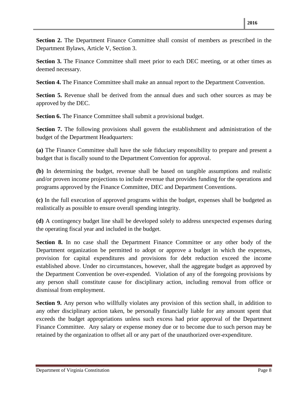**Section 2.** The Department Finance Committee shall consist of members as prescribed in the Department Bylaws, Article V, Section 3.

**Section 3.** The Finance Committee shall meet prior to each DEC meeting, or at other times as deemed necessary.

**Section 4.** The Finance Committee shall make an annual report to the Department Convention.

**Section 5.** Revenue shall be derived from the annual dues and such other sources as may be approved by the DEC.

**Section 6.** The Finance Committee shall submit a provisional budget.

**Section 7.** The following provisions shall govern the establishment and administration of the budget of the Department Headquarters:

**(a)** The Finance Committee shall have the sole fiduciary responsibility to prepare and present a budget that is fiscally sound to the Department Convention for approval.

**(b)** In determining the budget, revenue shall be based on tangible assumptions and realistic and/or proven income projections to include revenue that provides funding for the operations and programs approved by the Finance Committee, DEC and Department Conventions.

**(c)** In the full execution of approved programs within the budget, expenses shall be budgeted as realistically as possible to ensure overall spending integrity.

**(d)** A contingency budget line shall be developed solely to address unexpected expenses during the operating fiscal year and included in the budget.

Section 8. In no case shall the Department Finance Committee or any other body of the Department organization be permitted to adopt or approve a budget in which the expenses, provision for capital expenditures and provisions for debt reduction exceed the income established above. Under no circumstances, however, shall the aggregate budget as approved by the Department Convention be over-expended. Violation of any of the foregoing provisions by any person shall constitute cause for disciplinary action, including removal from office or dismissal from employment.

**Section 9.** Any person who willfully violates any provision of this section shall, in addition to any other disciplinary action taken, be personally financially liable for any amount spent that exceeds the budget appropriations unless such excess had prior approval of the Department Finance Committee. Any salary or expense money due or to become due to such person may be retained by the organization to offset all or any part of the unauthorized over-expenditure.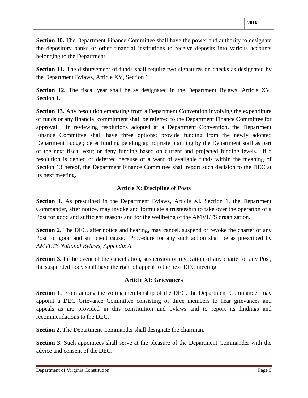**Section 10.** The Department Finance Committee shall have the power and authority to designate the depository banks or other financial institutions to receive deposits into various accounts belonging to the Department.

**Section 11.** The disbursement of funds shall require two signatures on checks as designated by the Department Bylaws, Article XV, Section 1.

**Section 12.** The fiscal year shall be as designated in the Department Bylaws, Article XV, Section 1.

**Section 13.** Any resolution emanating from a Department Convention involving the expenditure of funds or any financial commitment shall be referred to the Department Finance Committee for approval. In reviewing resolutions adopted at a Department Convention, the Department Finance Committee shall have three options: provide funding from the newly adopted Department budget; defer funding pending appropriate planning by the Department staff as part of the next fiscal year; or deny funding based on current and projected funding levels. If a resolution is denied or deferred because of a want of available funds within the meaning of Section 13 hereof, the Department Finance Committee shall report such decision to the DEC at its next meeting.

#### **Article X: Discipline of Posts**

**Section 1.** As prescribed in the Department Bylaws, Article XI, Section 1, the Department Commander, after notice, may invoke and formulate a trusteeship to take over the operation of a Post for good and sufficient reasons and for the wellbeing of the AMVETS organization.

**Section 2.** The DEC, after notice and hearing, may cancel, suspend or revoke the charter of any Post for good and sufficient cause. Procedure for any such action shall be as prescribed by *AMVETS National Bylaws, Appendix A*.

**Section 3.** In the event of the cancellation, suspension or revocation of any charter of any Post, the suspended body shall have the right of appeal to the next DEC meeting.

#### **Article XI: Grievances**

**Section 1.** From among the voting membership of the DEC, the Department Commander may appoint a DEC Grievance Committee consisting of three members to hear grievances and appeals as are provided in this constitution and bylaws and to report its findings and recommendations to the DEC.

**Section 2.** The Department Commander shall designate the chairman.

**Section 3.** Such appointees shall serve at the pleasure of the Department Commander with the advice and consent of the DEC.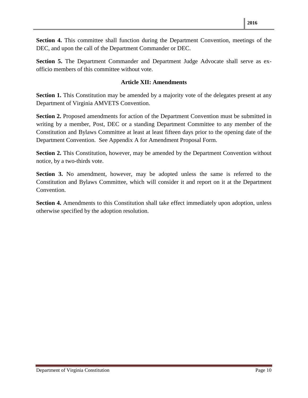**Section 4.** This committee shall function during the Department Convention, meetings of the DEC, and upon the call of the Department Commander or DEC.

**Section 5.** The Department Commander and Department Judge Advocate shall serve as exofficio members of this committee without vote.

#### **Article XII: Amendments**

**Section 1.** This Constitution may be amended by a majority vote of the delegates present at any Department of Virginia AMVETS Convention.

**Section 2.** Proposed amendments for action of the Department Convention must be submitted in writing by a member, Post, DEC or a standing Department Committee to any member of the Constitution and Bylaws Committee at least at least fifteen days prior to the opening date of the Department Convention. See Appendix A for Amendment Proposal Form.

**Section 2.** This Constitution, however, may be amended by the Department Convention without notice, by a two-thirds vote.

**Section 3.** No amendment, however, may be adopted unless the same is referred to the Constitution and Bylaws Committee, which will consider it and report on it at the Department Convention.

**Section 4.** Amendments to this Constitution shall take effect immediately upon adoption, unless otherwise specified by the adoption resolution.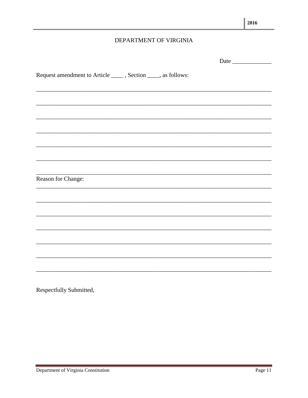#### DEPARTMENT OF VIRGINIA

|                                                                                                                        |                                                                                                                       | Date |
|------------------------------------------------------------------------------------------------------------------------|-----------------------------------------------------------------------------------------------------------------------|------|
| Request amendment to Article ______, Section _____, as follows:                                                        |                                                                                                                       |      |
| <u> 1989 - Johann John Stoff, deutscher Stoffen und der Stoffen und der Stoffen und der Stoffen und der Stoffen un</u> |                                                                                                                       |      |
|                                                                                                                        |                                                                                                                       |      |
|                                                                                                                        |                                                                                                                       |      |
|                                                                                                                        |                                                                                                                       |      |
|                                                                                                                        |                                                                                                                       |      |
|                                                                                                                        | <u> 1989 - Johann Harry Harry Harry Harry Harry Harry Harry Harry Harry Harry Harry Harry Harry Harry Harry Harry</u> |      |
| Reason for Change:                                                                                                     |                                                                                                                       |      |
|                                                                                                                        |                                                                                                                       |      |
|                                                                                                                        |                                                                                                                       |      |
|                                                                                                                        |                                                                                                                       |      |
|                                                                                                                        |                                                                                                                       |      |
|                                                                                                                        |                                                                                                                       |      |
|                                                                                                                        |                                                                                                                       |      |

Respectfully Submitted,